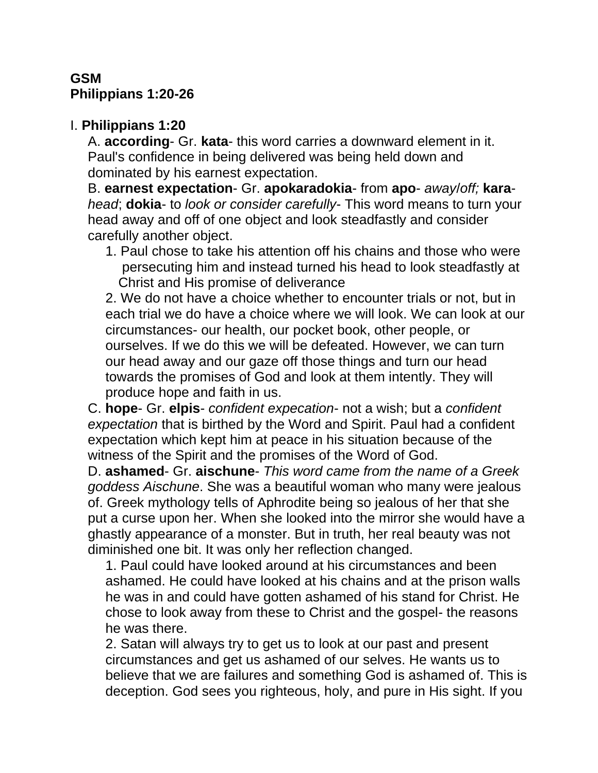# **GSM Philippians 1:20-26**

### I. **Philippians 1:20**

A. **according**- Gr. **kata**- this word carries a downward element in it. Paul's confidence in being delivered was being held down and dominated by his earnest expectation.

B. **earnest expectation**- Gr. **apokaradokia**- from **apo**- *away*/*off;* **kara***head*; **dokia**- to *look or consider carefully*- This word means to turn your head away and off of one object and look steadfastly and consider carefully another object.

1. Paul chose to take his attention off his chains and those who were persecuting him and instead turned his head to look steadfastly at Christ and His promise of deliverance

2. We do not have a choice whether to encounter trials or not, but in each trial we do have a choice where we will look. We can look at our circumstances- our health, our pocket book, other people, or ourselves. If we do this we will be defeated. However, we can turn our head away and our gaze off those things and turn our head towards the promises of God and look at them intently. They will produce hope and faith in us.

C. **hope**- Gr. **elpis**- *confident expecation*- not a wish; but a *confident expectation* that is birthed by the Word and Spirit. Paul had a confident expectation which kept him at peace in his situation because of the witness of the Spirit and the promises of the Word of God.

D. **ashamed**- Gr. **aischune**- *This word came from the name of a Greek goddess Aischune*. She was a beautiful woman who many were jealous of. Greek mythology tells of Aphrodite being so jealous of her that she put a curse upon her. When she looked into the mirror she would have a ghastly appearance of a monster. But in truth, her real beauty was not diminished one bit. It was only her reflection changed.

1. Paul could have looked around at his circumstances and been ashamed. He could have looked at his chains and at the prison walls he was in and could have gotten ashamed of his stand for Christ. He chose to look away from these to Christ and the gospel- the reasons he was there.

2. Satan will always try to get us to look at our past and present circumstances and get us ashamed of our selves. He wants us to believe that we are failures and something God is ashamed of. This is deception. God sees you righteous, holy, and pure in His sight. If you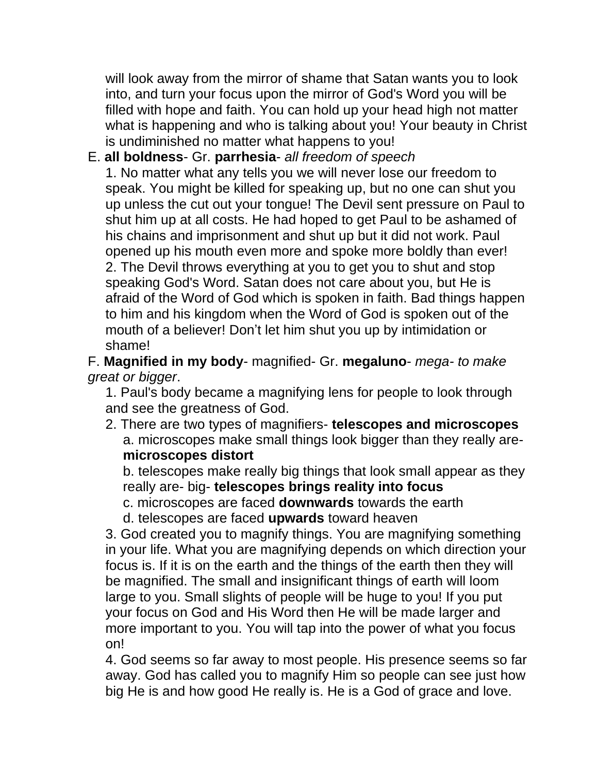will look away from the mirror of shame that Satan wants you to look into, and turn your focus upon the mirror of God's Word you will be filled with hope and faith. You can hold up your head high not matter what is happening and who is talking about you! Your beauty in Christ is undiminished no matter what happens to you!

# E. **all boldness**- Gr. **parrhesia**- *all freedom of speech*

1. No matter what any tells you we will never lose our freedom to speak. You might be killed for speaking up, but no one can shut you up unless the cut out your tongue! The Devil sent pressure on Paul to shut him up at all costs. He had hoped to get Paul to be ashamed of his chains and imprisonment and shut up but it did not work. Paul opened up his mouth even more and spoke more boldly than ever! 2. The Devil throws everything at you to get you to shut and stop speaking God's Word. Satan does not care about you, but He is afraid of the Word of God which is spoken in faith. Bad things happen to him and his kingdom when the Word of God is spoken out of the mouth of a believer! Don't let him shut you up by intimidation or shame!

F. **Magnified in my body**- magnified- Gr. **megaluno**- *mega- to make great or bigger*.

1. Paul's body became a magnifying lens for people to look through and see the greatness of God.

2. There are two types of magnifiers- **telescopes and microscopes** a. microscopes make small things look bigger than they really are**microscopes distort**

b. telescopes make really big things that look small appear as they really are- big- **telescopes brings reality into focus**

c. microscopes are faced **downwards** towards the earth

d. telescopes are faced **upwards** toward heaven

3. God created you to magnify things. You are magnifying something in your life. What you are magnifying depends on which direction your focus is. If it is on the earth and the things of the earth then they will be magnified. The small and insignificant things of earth will loom large to you. Small slights of people will be huge to you! If you put your focus on God and His Word then He will be made larger and more important to you. You will tap into the power of what you focus on!

4. God seems so far away to most people. His presence seems so far away. God has called you to magnify Him so people can see just how big He is and how good He really is. He is a God of grace and love.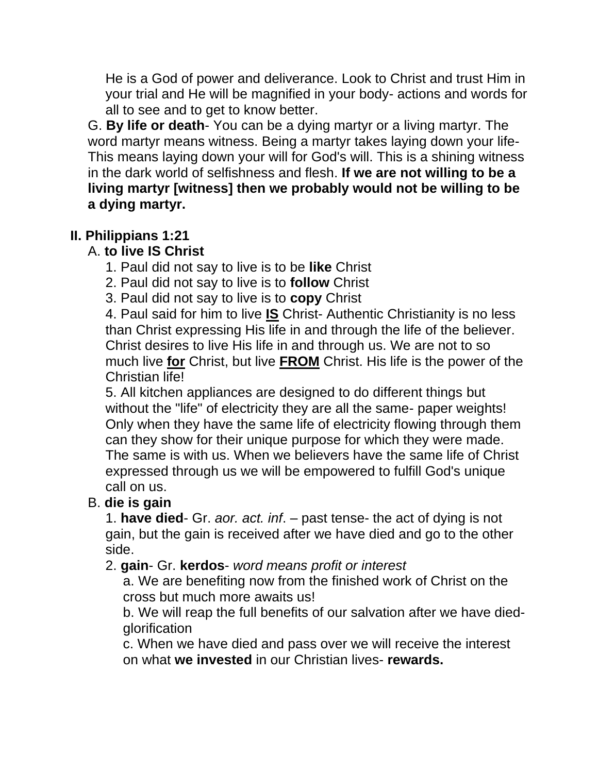He is a God of power and deliverance. Look to Christ and trust Him in your trial and He will be magnified in your body- actions and words for all to see and to get to know better.

G. **By life or death**- You can be a dying martyr or a living martyr. The word martyr means witness. Being a martyr takes laying down your life-This means laying down your will for God's will. This is a shining witness in the dark world of selfishness and flesh. **If we are not willing to be a living martyr [witness] then we probably would not be willing to be a dying martyr.**

# **II. Philippians 1:21**

# A. **to live IS Christ**

- 1. Paul did not say to live is to be **like** Christ
- 2. Paul did not say to live is to **follow** Christ
- 3. Paul did not say to live is to **copy** Christ

4. Paul said for him to live **IS** Christ- Authentic Christianity is no less than Christ expressing His life in and through the life of the believer. Christ desires to live His life in and through us. We are not to so much live **for** Christ, but live **FROM** Christ. His life is the power of the Christian life!

5. All kitchen appliances are designed to do different things but without the "life" of electricity they are all the same- paper weights! Only when they have the same life of electricity flowing through them can they show for their unique purpose for which they were made. The same is with us. When we believers have the same life of Christ expressed through us we will be empowered to fulfill God's unique call on us.

# B. **die is gain**

1. **have died**- Gr. *aor. act. inf*. – past tense- the act of dying is not gain, but the gain is received after we have died and go to the other side.

# 2. **gain**- Gr. **kerdos**- *word means profit or interest*

a. We are benefiting now from the finished work of Christ on the cross but much more awaits us!

b. We will reap the full benefits of our salvation after we have died**glorification** 

c. When we have died and pass over we will receive the interest on what **we invested** in our Christian lives- **rewards.**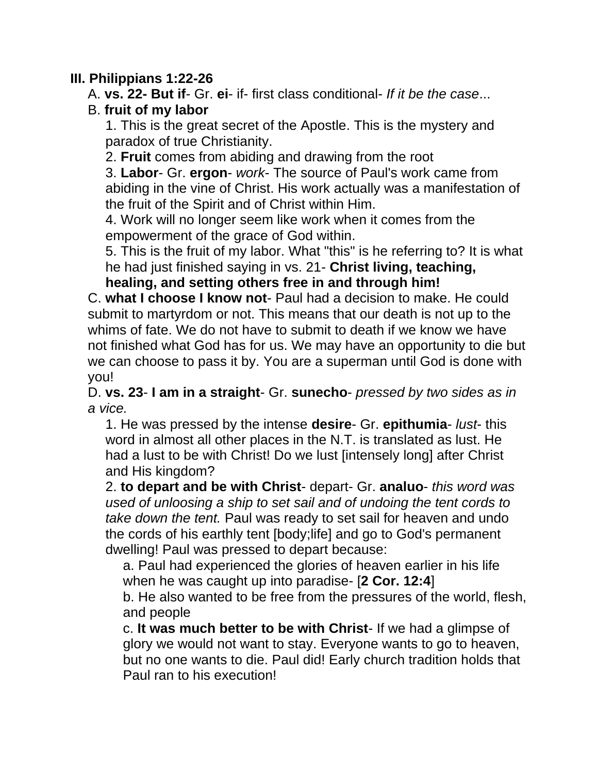#### **III. Philippians 1:22-26**

A. **vs. 22- But if**- Gr. **ei**- if- first class conditional- *If it be the case*...

#### B. **fruit of my labor**

1. This is the great secret of the Apostle. This is the mystery and paradox of true Christianity.

2. **Fruit** comes from abiding and drawing from the root

3. **Labor**- Gr. **ergon**- *work*- The source of Paul's work came from abiding in the vine of Christ. His work actually was a manifestation of the fruit of the Spirit and of Christ within Him.

4. Work will no longer seem like work when it comes from the empowerment of the grace of God within.

5. This is the fruit of my labor. What "this" is he referring to? It is what he had just finished saying in vs. 21- **Christ living, teaching,** 

**healing, and setting others free in and through him!**

C. **what I choose I know not**- Paul had a decision to make. He could submit to martyrdom or not. This means that our death is not up to the whims of fate. We do not have to submit to death if we know we have not finished what God has for us. We may have an opportunity to die but we can choose to pass it by. You are a superman until God is done with you!

D. **vs. 23**- **I am in a straight**- Gr. **sunecho**- *pressed by two sides as in a vice.* 

1. He was pressed by the intense **desire**- Gr. **epithumia**- *lust*- this word in almost all other places in the N.T. is translated as lust. He had a lust to be with Christ! Do we lust [intensely long] after Christ and His kingdom?

2. **to depart and be with Christ**- depart- Gr. **analuo**- *this word was used of unloosing a ship to set sail and of undoing the tent cords to take down the tent.* Paul was ready to set sail for heaven and undo the cords of his earthly tent [body;life] and go to God's permanent dwelling! Paul was pressed to depart because:

a. Paul had experienced the glories of heaven earlier in his life when he was caught up into paradise- [**2 Cor. 12:4**] b. He also wanted to be free from the pressures of the world, flesh,

and people

c. **It was much better to be with Christ**- If we had a glimpse of glory we would not want to stay. Everyone wants to go to heaven, but no one wants to die. Paul did! Early church tradition holds that Paul ran to his execution!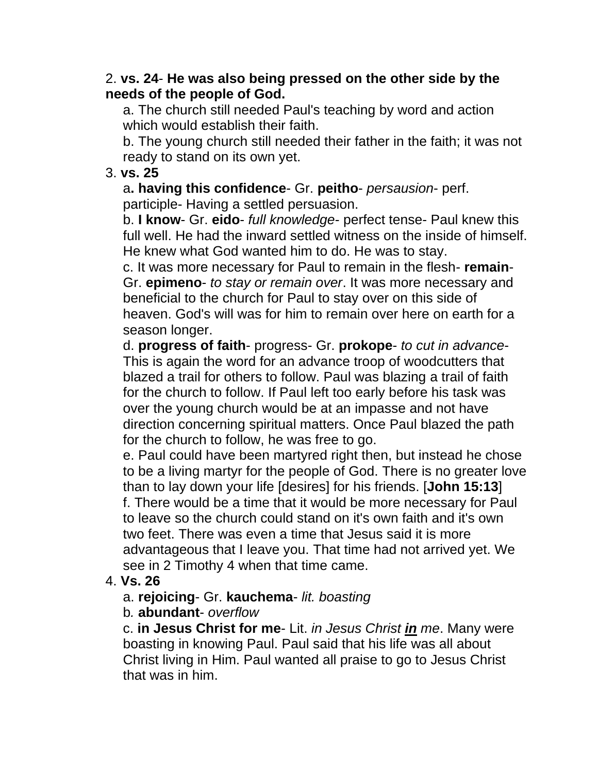#### 2. **vs. 24**- **He was also being pressed on the other side by the needs of the people of God.**

a. The church still needed Paul's teaching by word and action which would establish their faith.

b. The young church still needed their father in the faith; it was not ready to stand on its own yet.

#### 3. **vs. 25**

a**. having this confidence**- Gr. **peitho**- *persausion*- perf. participle- Having a settled persuasion.

b. **I know**- Gr. **eido**- *full knowledge*- perfect tense- Paul knew this full well. He had the inward settled witness on the inside of himself. He knew what God wanted him to do. He was to stay.

c. It was more necessary for Paul to remain in the flesh- **remain**-Gr. **epimeno**- *to stay or remain over*. It was more necessary and beneficial to the church for Paul to stay over on this side of heaven. God's will was for him to remain over here on earth for a season longer.

d. **progress of faith**- progress- Gr. **prokope**- *to cut in advance*-This is again the word for an advance troop of woodcutters that blazed a trail for others to follow. Paul was blazing a trail of faith for the church to follow. If Paul left too early before his task was over the young church would be at an impasse and not have direction concerning spiritual matters. Once Paul blazed the path for the church to follow, he was free to go.

e. Paul could have been martyred right then, but instead he chose to be a living martyr for the people of God. There is no greater love than to lay down your life [desires] for his friends. [**John 15:13**] f. There would be a time that it would be more necessary for Paul to leave so the church could stand on it's own faith and it's own two feet. There was even a time that Jesus said it is more advantageous that I leave you. That time had not arrived yet. We see in 2 Timothy 4 when that time came.

# 4. **Vs. 26**

# a. **rejoicing**- Gr. **kauchema**- *lit. boasting*

#### b*.* **abundant**- *overflow*

c. **in Jesus Christ for me**- Lit. *in Jesus Christ in me*. Many were boasting in knowing Paul. Paul said that his life was all about Christ living in Him. Paul wanted all praise to go to Jesus Christ that was in him.